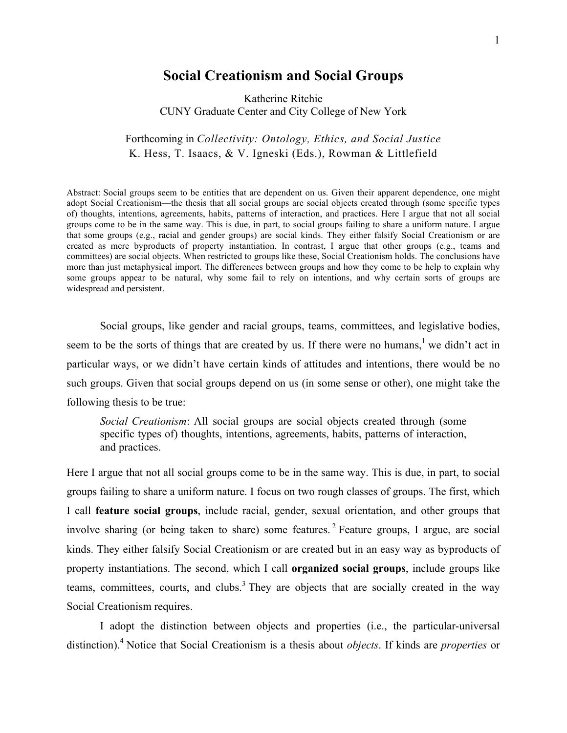# **Social Creationism and Social Groups**

Katherine Ritchie CUNY Graduate Center and City College of New York

Forthcoming in *Collectivity: Ontology, Ethics, and Social Justice* K. Hess, T. Isaacs, & V. Igneski (Eds.), Rowman & Littlefield

Abstract: Social groups seem to be entities that are dependent on us. Given their apparent dependence, one might adopt Social Creationism—the thesis that all social groups are social objects created through (some specific types of) thoughts, intentions, agreements, habits, patterns of interaction, and practices. Here I argue that not all social groups come to be in the same way. This is due, in part, to social groups failing to share a uniform nature. I argue that some groups (e.g., racial and gender groups) are social kinds. They either falsify Social Creationism or are created as mere byproducts of property instantiation. In contrast, I argue that other groups (e.g., teams and committees) are social objects. When restricted to groups like these, Social Creationism holds. The conclusions have more than just metaphysical import. The differences between groups and how they come to be help to explain why some groups appear to be natural, why some fail to rely on intentions, and why certain sorts of groups are widespread and persistent.

Social groups, like gender and racial groups, teams, committees, and legislative bodies, seem to be the sorts of things that are created by us. If there were no humans,<sup>1</sup> we didn't act in particular ways, or we didn't have certain kinds of attitudes and intentions, there would be no such groups. Given that social groups depend on us (in some sense or other), one might take the following thesis to be true:

*Social Creationism*: All social groups are social objects created through (some specific types of) thoughts, intentions, agreements, habits, patterns of interaction, and practices.

Here I argue that not all social groups come to be in the same way. This is due, in part, to social groups failing to share a uniform nature. I focus on two rough classes of groups. The first, which I call **feature social groups**, include racial, gender, sexual orientation, and other groups that involve sharing (or being taken to share) some features. <sup>2</sup> Feature groups, I argue, are social kinds. They either falsify Social Creationism or are created but in an easy way as byproducts of property instantiations. The second, which I call **organized social groups**, include groups like teams, committees, courts, and clubs.<sup>3</sup> They are objects that are socially created in the way Social Creationism requires.

I adopt the distinction between objects and properties (i.e., the particular-universal distinction).4 Notice that Social Creationism is a thesis about *objects*. If kinds are *properties* or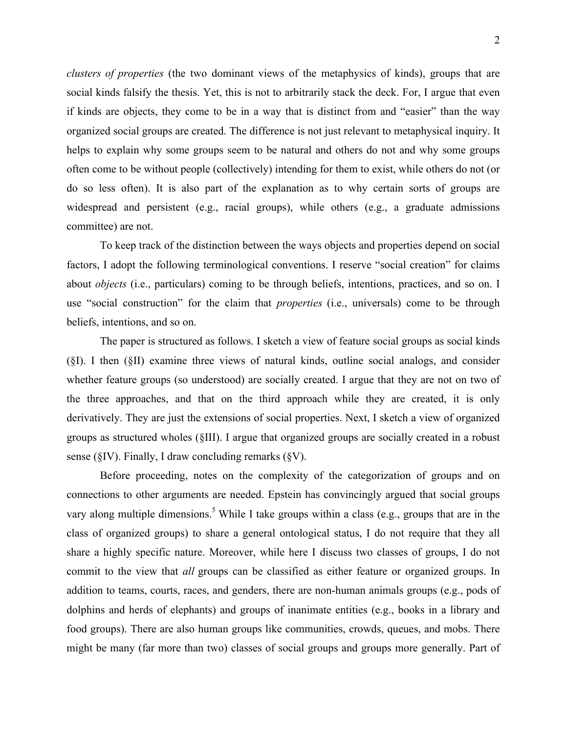*clusters of properties* (the two dominant views of the metaphysics of kinds), groups that are social kinds falsify the thesis. Yet, this is not to arbitrarily stack the deck. For, I argue that even if kinds are objects, they come to be in a way that is distinct from and "easier" than the way organized social groups are created. The difference is not just relevant to metaphysical inquiry. It helps to explain why some groups seem to be natural and others do not and why some groups often come to be without people (collectively) intending for them to exist, while others do not (or do so less often). It is also part of the explanation as to why certain sorts of groups are widespread and persistent (e.g., racial groups), while others (e.g., a graduate admissions committee) are not.

To keep track of the distinction between the ways objects and properties depend on social factors, I adopt the following terminological conventions. I reserve "social creation" for claims about *objects* (i.e., particulars) coming to be through beliefs, intentions, practices, and so on. I use "social construction" for the claim that *properties* (i.e., universals) come to be through beliefs, intentions, and so on.

The paper is structured as follows. I sketch a view of feature social groups as social kinds (§I). I then (§II) examine three views of natural kinds, outline social analogs, and consider whether feature groups (so understood) are socially created. I argue that they are not on two of the three approaches, and that on the third approach while they are created, it is only derivatively. They are just the extensions of social properties. Next, I sketch a view of organized groups as structured wholes (§III). I argue that organized groups are socially created in a robust sense ( $\S$ IV). Finally, I draw concluding remarks ( $\S$ V).

Before proceeding, notes on the complexity of the categorization of groups and on connections to other arguments are needed. Epstein has convincingly argued that social groups vary along multiple dimensions.<sup>5</sup> While I take groups within a class (e.g., groups that are in the class of organized groups) to share a general ontological status, I do not require that they all share a highly specific nature. Moreover, while here I discuss two classes of groups, I do not commit to the view that *all* groups can be classified as either feature or organized groups. In addition to teams, courts, races, and genders, there are non-human animals groups (e.g., pods of dolphins and herds of elephants) and groups of inanimate entities (e.g., books in a library and food groups). There are also human groups like communities, crowds, queues, and mobs. There might be many (far more than two) classes of social groups and groups more generally. Part of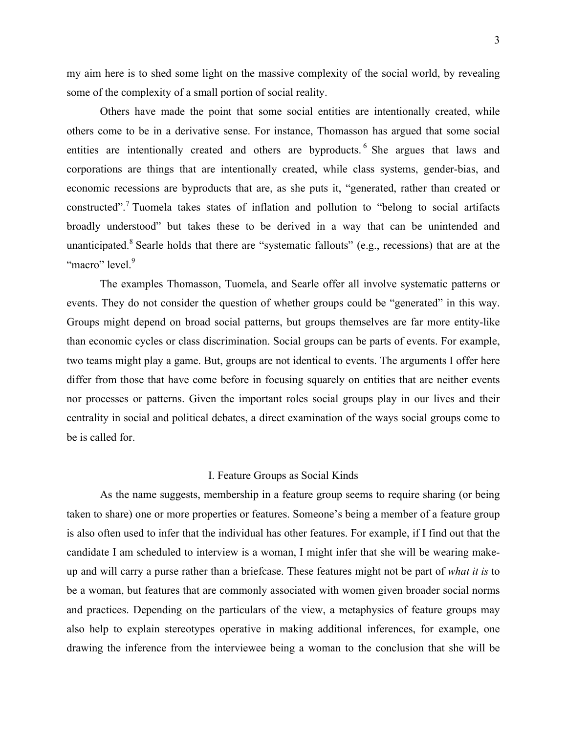my aim here is to shed some light on the massive complexity of the social world, by revealing some of the complexity of a small portion of social reality.

Others have made the point that some social entities are intentionally created, while others come to be in a derivative sense. For instance, Thomasson has argued that some social entities are intentionally created and others are byproducts. <sup>6</sup> She argues that laws and corporations are things that are intentionally created, while class systems, gender-bias, and economic recessions are byproducts that are, as she puts it, "generated, rather than created or constructed".<sup>7</sup> Tuomela takes states of inflation and pollution to "belong to social artifacts broadly understood" but takes these to be derived in a way that can be unintended and unanticipated.<sup>8</sup> Searle holds that there are "systematic fallouts" (e.g., recessions) that are at the "macro" level.<sup>9</sup>

The examples Thomasson, Tuomela, and Searle offer all involve systematic patterns or events. They do not consider the question of whether groups could be "generated" in this way. Groups might depend on broad social patterns, but groups themselves are far more entity-like than economic cycles or class discrimination. Social groups can be parts of events. For example, two teams might play a game. But, groups are not identical to events. The arguments I offer here differ from those that have come before in focusing squarely on entities that are neither events nor processes or patterns. Given the important roles social groups play in our lives and their centrality in social and political debates, a direct examination of the ways social groups come to be is called for.

### I. Feature Groups as Social Kinds

As the name suggests, membership in a feature group seems to require sharing (or being taken to share) one or more properties or features. Someone's being a member of a feature group is also often used to infer that the individual has other features. For example, if I find out that the candidate I am scheduled to interview is a woman, I might infer that she will be wearing makeup and will carry a purse rather than a briefcase. These features might not be part of *what it is* to be a woman, but features that are commonly associated with women given broader social norms and practices. Depending on the particulars of the view, a metaphysics of feature groups may also help to explain stereotypes operative in making additional inferences, for example, one drawing the inference from the interviewee being a woman to the conclusion that she will be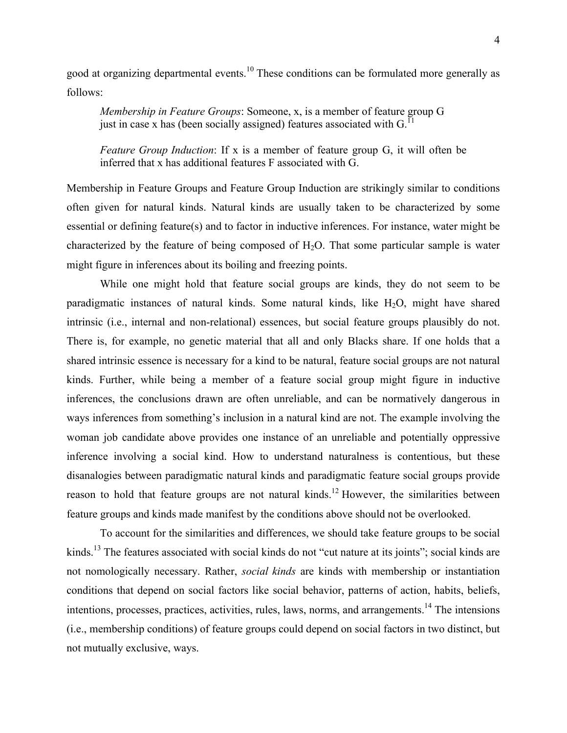good at organizing departmental events.<sup>10</sup> These conditions can be formulated more generally as follows:

*Membership in Feature Groups*: Someone, x, is a member of feature group G just in case x has (been socially assigned) features associated with G.<sup>11</sup>

*Feature Group Induction*: If x is a member of feature group G, it will often be inferred that x has additional features F associated with G.

Membership in Feature Groups and Feature Group Induction are strikingly similar to conditions often given for natural kinds. Natural kinds are usually taken to be characterized by some essential or defining feature(s) and to factor in inductive inferences. For instance, water might be characterized by the feature of being composed of  $H_2O$ . That some particular sample is water might figure in inferences about its boiling and freezing points.

While one might hold that feature social groups are kinds, they do not seem to be paradigmatic instances of natural kinds. Some natural kinds, like  $H_2O$ , might have shared intrinsic (i.e., internal and non-relational) essences, but social feature groups plausibly do not. There is, for example, no genetic material that all and only Blacks share. If one holds that a shared intrinsic essence is necessary for a kind to be natural, feature social groups are not natural kinds. Further, while being a member of a feature social group might figure in inductive inferences, the conclusions drawn are often unreliable, and can be normatively dangerous in ways inferences from something's inclusion in a natural kind are not. The example involving the woman job candidate above provides one instance of an unreliable and potentially oppressive inference involving a social kind. How to understand naturalness is contentious, but these disanalogies between paradigmatic natural kinds and paradigmatic feature social groups provide reason to hold that feature groups are not natural kinds.<sup>12</sup> However, the similarities between feature groups and kinds made manifest by the conditions above should not be overlooked.

To account for the similarities and differences, we should take feature groups to be social kinds.<sup>13</sup> The features associated with social kinds do not "cut nature at its joints"; social kinds are not nomologically necessary. Rather, *social kinds* are kinds with membership or instantiation conditions that depend on social factors like social behavior, patterns of action, habits, beliefs, intentions, processes, practices, activities, rules, laws, norms, and arrangements.<sup>14</sup> The intensions (i.e., membership conditions) of feature groups could depend on social factors in two distinct, but not mutually exclusive, ways.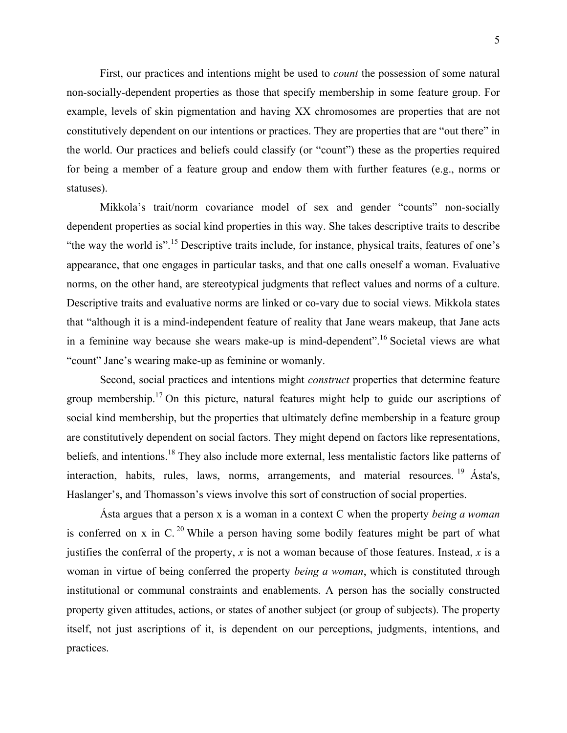First, our practices and intentions might be used to *count* the possession of some natural non-socially-dependent properties as those that specify membership in some feature group. For example, levels of skin pigmentation and having XX chromosomes are properties that are not constitutively dependent on our intentions or practices. They are properties that are "out there" in the world. Our practices and beliefs could classify (or "count") these as the properties required for being a member of a feature group and endow them with further features (e.g., norms or statuses).

Mikkola's trait/norm covariance model of sex and gender "counts" non-socially dependent properties as social kind properties in this way. She takes descriptive traits to describe "the way the world is".<sup>15</sup> Descriptive traits include, for instance, physical traits, features of one's appearance, that one engages in particular tasks, and that one calls oneself a woman. Evaluative norms, on the other hand, are stereotypical judgments that reflect values and norms of a culture. Descriptive traits and evaluative norms are linked or co-vary due to social views. Mikkola states that "although it is a mind-independent feature of reality that Jane wears makeup, that Jane acts in a feminine way because she wears make-up is mind-dependent".<sup>16</sup> Societal views are what "count" Jane's wearing make-up as feminine or womanly.

Second, social practices and intentions might *construct* properties that determine feature group membership.<sup>17</sup> On this picture, natural features might help to guide our ascriptions of social kind membership, but the properties that ultimately define membership in a feature group are constitutively dependent on social factors. They might depend on factors like representations, beliefs, and intentions.<sup>18</sup> They also include more external, less mentalistic factors like patterns of interaction, habits, rules, laws, norms, arrangements, and material resources.<sup>19</sup> Ásta's, Haslanger's, and Thomasson's views involve this sort of construction of social properties.

Ásta argues that a person x is a woman in a context C when the property *being a woman* is conferred on x in C.<sup>20</sup> While a person having some bodily features might be part of what justifies the conferral of the property,  $x$  is not a woman because of those features. Instead,  $x$  is a woman in virtue of being conferred the property *being a woman*, which is constituted through institutional or communal constraints and enablements. A person has the socially constructed property given attitudes, actions, or states of another subject (or group of subjects). The property itself, not just ascriptions of it, is dependent on our perceptions, judgments, intentions, and practices.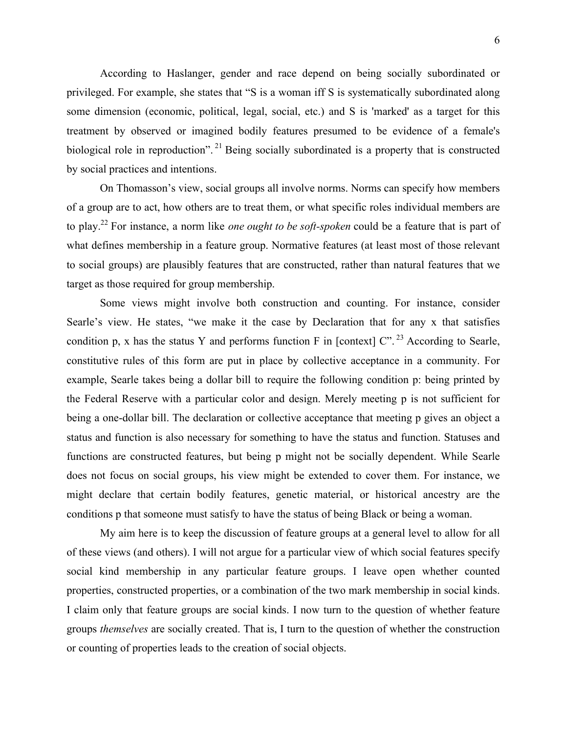According to Haslanger, gender and race depend on being socially subordinated or privileged. For example, she states that "S is a woman iff S is systematically subordinated along some dimension (economic, political, legal, social, etc.) and S is 'marked' as a target for this treatment by observed or imagined bodily features presumed to be evidence of a female's biological role in reproduction".<sup>21</sup> Being socially subordinated is a property that is constructed by social practices and intentions.

On Thomasson's view, social groups all involve norms. Norms can specify how members of a group are to act, how others are to treat them, or what specific roles individual members are to play.22 For instance, a norm like *one ought to be soft-spoken* could be a feature that is part of what defines membership in a feature group. Normative features (at least most of those relevant to social groups) are plausibly features that are constructed, rather than natural features that we target as those required for group membership.

Some views might involve both construction and counting. For instance, consider Searle's view. He states, "we make it the case by Declaration that for any x that satisfies condition p, x has the status Y and performs function F in [context]  $\mathbb{C}^n$ . <sup>23</sup> According to Searle, constitutive rules of this form are put in place by collective acceptance in a community. For example, Searle takes being a dollar bill to require the following condition p: being printed by the Federal Reserve with a particular color and design. Merely meeting p is not sufficient for being a one-dollar bill. The declaration or collective acceptance that meeting p gives an object a status and function is also necessary for something to have the status and function. Statuses and functions are constructed features, but being p might not be socially dependent. While Searle does not focus on social groups, his view might be extended to cover them. For instance, we might declare that certain bodily features, genetic material, or historical ancestry are the conditions p that someone must satisfy to have the status of being Black or being a woman.

My aim here is to keep the discussion of feature groups at a general level to allow for all of these views (and others). I will not argue for a particular view of which social features specify social kind membership in any particular feature groups. I leave open whether counted properties, constructed properties, or a combination of the two mark membership in social kinds. I claim only that feature groups are social kinds. I now turn to the question of whether feature groups *themselves* are socially created. That is, I turn to the question of whether the construction or counting of properties leads to the creation of social objects.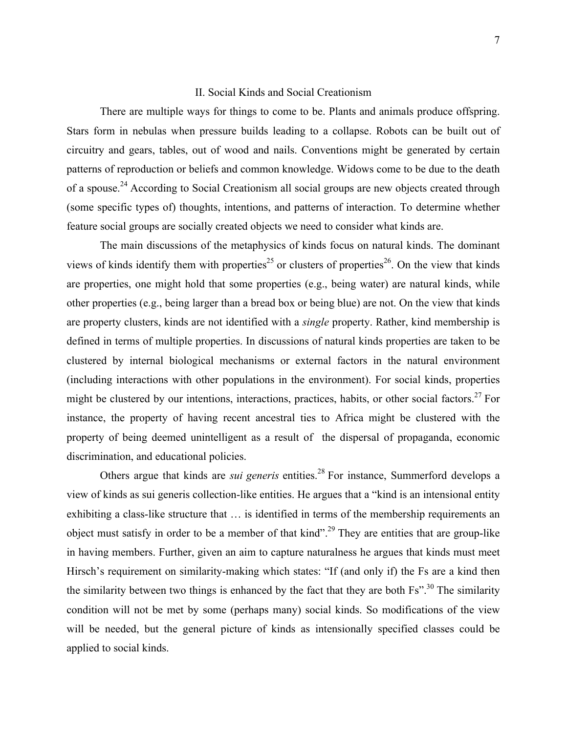#### II. Social Kinds and Social Creationism

There are multiple ways for things to come to be. Plants and animals produce offspring. Stars form in nebulas when pressure builds leading to a collapse. Robots can be built out of circuitry and gears, tables, out of wood and nails. Conventions might be generated by certain patterns of reproduction or beliefs and common knowledge. Widows come to be due to the death of a spouse.<sup>24</sup> According to Social Creationism all social groups are new objects created through (some specific types of) thoughts, intentions, and patterns of interaction. To determine whether feature social groups are socially created objects we need to consider what kinds are.

The main discussions of the metaphysics of kinds focus on natural kinds. The dominant views of kinds identify them with properties<sup>25</sup> or clusters of properties<sup>26</sup>. On the view that kinds are properties, one might hold that some properties (e.g., being water) are natural kinds, while other properties (e.g., being larger than a bread box or being blue) are not. On the view that kinds are property clusters, kinds are not identified with a *single* property. Rather, kind membership is defined in terms of multiple properties. In discussions of natural kinds properties are taken to be clustered by internal biological mechanisms or external factors in the natural environment (including interactions with other populations in the environment). For social kinds, properties might be clustered by our intentions, interactions, practices, habits, or other social factors.<sup>27</sup> For instance, the property of having recent ancestral ties to Africa might be clustered with the property of being deemed unintelligent as a result of the dispersal of propaganda, economic discrimination, and educational policies.

Others argue that kinds are *sui generis* entities.<sup>28</sup> For instance, Summerford develops a view of kinds as sui generis collection-like entities. He argues that a "kind is an intensional entity exhibiting a class-like structure that … is identified in terms of the membership requirements an object must satisfy in order to be a member of that kind".29 They are entities that are group-like in having members. Further, given an aim to capture naturalness he argues that kinds must meet Hirsch's requirement on similarity-making which states: "If (and only if) the Fs are a kind then the similarity between two things is enhanced by the fact that they are both  $Fs$ <sup>30</sup>. The similarity condition will not be met by some (perhaps many) social kinds. So modifications of the view will be needed, but the general picture of kinds as intensionally specified classes could be applied to social kinds.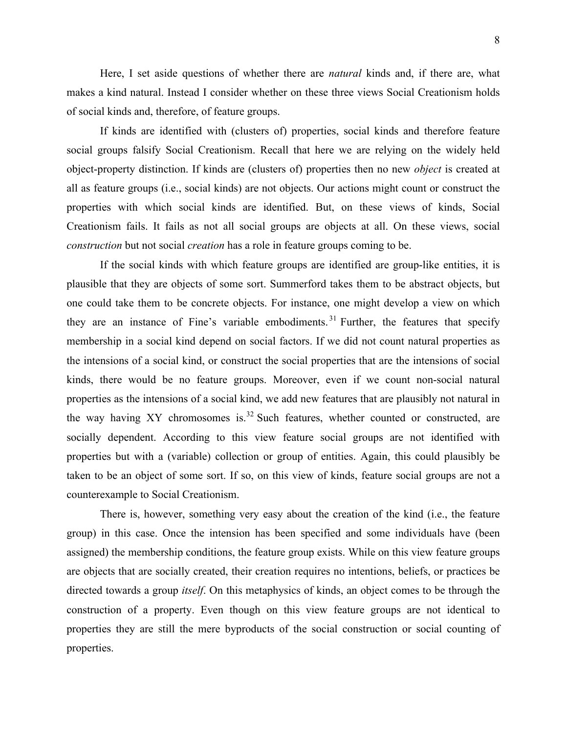Here, I set aside questions of whether there are *natural* kinds and, if there are, what makes a kind natural. Instead I consider whether on these three views Social Creationism holds of social kinds and, therefore, of feature groups.

If kinds are identified with (clusters of) properties, social kinds and therefore feature social groups falsify Social Creationism. Recall that here we are relying on the widely held object-property distinction. If kinds are (clusters of) properties then no new *object* is created at all as feature groups (i.e., social kinds) are not objects. Our actions might count or construct the properties with which social kinds are identified. But, on these views of kinds, Social Creationism fails. It fails as not all social groups are objects at all. On these views, social *construction* but not social *creation* has a role in feature groups coming to be.

If the social kinds with which feature groups are identified are group-like entities, it is plausible that they are objects of some sort. Summerford takes them to be abstract objects, but one could take them to be concrete objects. For instance, one might develop a view on which they are an instance of Fine's variable embodiments.<sup>31</sup> Further, the features that specify membership in a social kind depend on social factors. If we did not count natural properties as the intensions of a social kind, or construct the social properties that are the intensions of social kinds, there would be no feature groups. Moreover, even if we count non-social natural properties as the intensions of a social kind, we add new features that are plausibly not natural in the way having XY chromosomes is.<sup>32</sup> Such features, whether counted or constructed, are socially dependent. According to this view feature social groups are not identified with properties but with a (variable) collection or group of entities. Again, this could plausibly be taken to be an object of some sort. If so, on this view of kinds, feature social groups are not a counterexample to Social Creationism.

There is, however, something very easy about the creation of the kind (i.e., the feature group) in this case. Once the intension has been specified and some individuals have (been assigned) the membership conditions, the feature group exists. While on this view feature groups are objects that are socially created, their creation requires no intentions, beliefs, or practices be directed towards a group *itself*. On this metaphysics of kinds, an object comes to be through the construction of a property. Even though on this view feature groups are not identical to properties they are still the mere byproducts of the social construction or social counting of properties.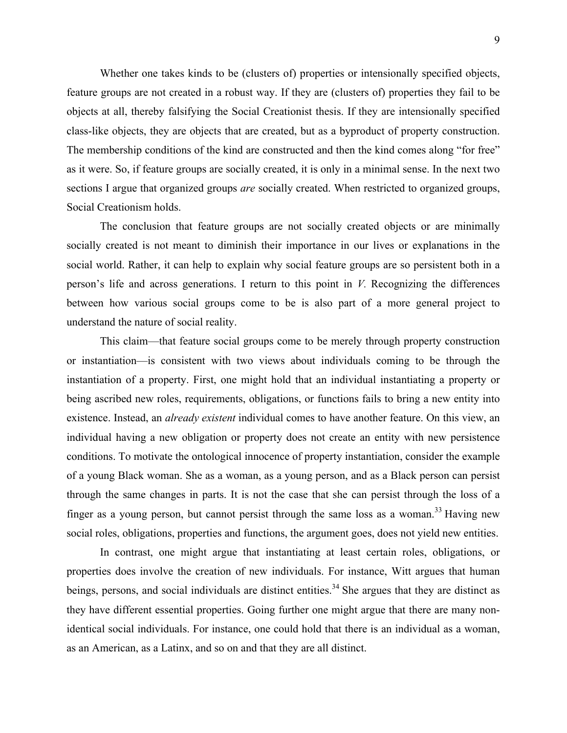Whether one takes kinds to be (clusters of) properties or intensionally specified objects, feature groups are not created in a robust way. If they are (clusters of) properties they fail to be objects at all, thereby falsifying the Social Creationist thesis. If they are intensionally specified class-like objects, they are objects that are created, but as a byproduct of property construction. The membership conditions of the kind are constructed and then the kind comes along "for free" as it were. So, if feature groups are socially created, it is only in a minimal sense. In the next two sections I argue that organized groups *are* socially created. When restricted to organized groups, Social Creationism holds.

The conclusion that feature groups are not socially created objects or are minimally socially created is not meant to diminish their importance in our lives or explanations in the social world. Rather, it can help to explain why social feature groups are so persistent both in a person's life and across generations. I return to this point in *V.* Recognizing the differences between how various social groups come to be is also part of a more general project to understand the nature of social reality.

This claim—that feature social groups come to be merely through property construction or instantiation—is consistent with two views about individuals coming to be through the instantiation of a property. First, one might hold that an individual instantiating a property or being ascribed new roles, requirements, obligations, or functions fails to bring a new entity into existence. Instead, an *already existent* individual comes to have another feature. On this view, an individual having a new obligation or property does not create an entity with new persistence conditions. To motivate the ontological innocence of property instantiation, consider the example of a young Black woman. She as a woman, as a young person, and as a Black person can persist through the same changes in parts. It is not the case that she can persist through the loss of a finger as a young person, but cannot persist through the same loss as a woman.<sup>33</sup> Having new social roles, obligations, properties and functions, the argument goes, does not yield new entities.

In contrast, one might argue that instantiating at least certain roles, obligations, or properties does involve the creation of new individuals. For instance, Witt argues that human beings, persons, and social individuals are distinct entities.<sup>34</sup> She argues that they are distinct as they have different essential properties. Going further one might argue that there are many nonidentical social individuals. For instance, one could hold that there is an individual as a woman, as an American, as a Latinx, and so on and that they are all distinct.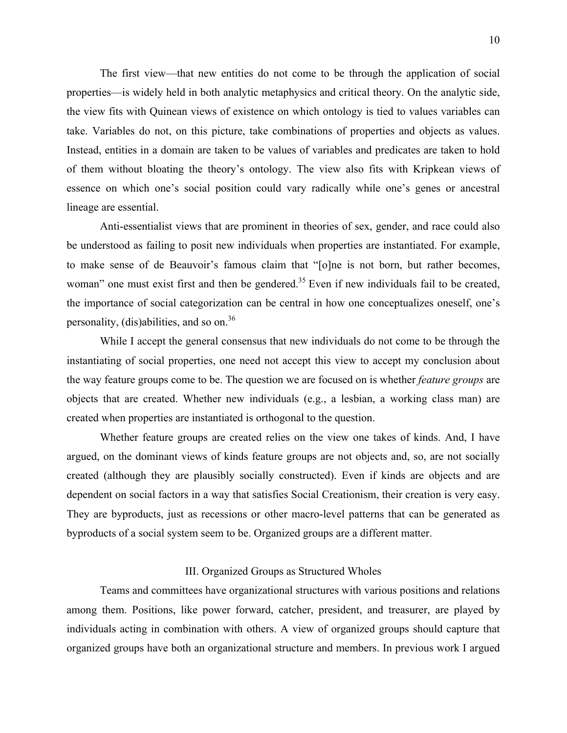The first view—that new entities do not come to be through the application of social properties—is widely held in both analytic metaphysics and critical theory. On the analytic side, the view fits with Quinean views of existence on which ontology is tied to values variables can take. Variables do not, on this picture, take combinations of properties and objects as values. Instead, entities in a domain are taken to be values of variables and predicates are taken to hold of them without bloating the theory's ontology. The view also fits with Kripkean views of essence on which one's social position could vary radically while one's genes or ancestral lineage are essential.

Anti-essentialist views that are prominent in theories of sex, gender, and race could also be understood as failing to posit new individuals when properties are instantiated. For example, to make sense of de Beauvoir's famous claim that "[o]ne is not born, but rather becomes, woman" one must exist first and then be gendered.<sup>35</sup> Even if new individuals fail to be created, the importance of social categorization can be central in how one conceptualizes oneself, one's personality, (dis)abilities, and so on.<sup>36</sup>

While I accept the general consensus that new individuals do not come to be through the instantiating of social properties, one need not accept this view to accept my conclusion about the way feature groups come to be. The question we are focused on is whether *feature groups* are objects that are created. Whether new individuals (e.g., a lesbian, a working class man) are created when properties are instantiated is orthogonal to the question.

Whether feature groups are created relies on the view one takes of kinds. And, I have argued, on the dominant views of kinds feature groups are not objects and, so, are not socially created (although they are plausibly socially constructed). Even if kinds are objects and are dependent on social factors in a way that satisfies Social Creationism, their creation is very easy. They are byproducts, just as recessions or other macro-level patterns that can be generated as byproducts of a social system seem to be. Organized groups are a different matter.

### III. Organized Groups as Structured Wholes

Teams and committees have organizational structures with various positions and relations among them. Positions, like power forward, catcher, president, and treasurer, are played by individuals acting in combination with others. A view of organized groups should capture that organized groups have both an organizational structure and members. In previous work I argued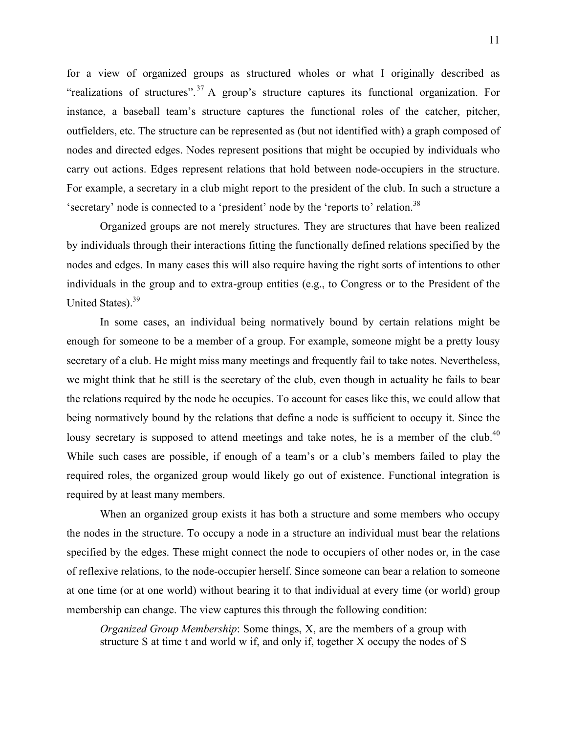for a view of organized groups as structured wholes or what I originally described as "realizations of structures".<sup>37</sup> A group's structure captures its functional organization. For instance, a baseball team's structure captures the functional roles of the catcher, pitcher, outfielders, etc. The structure can be represented as (but not identified with) a graph composed of nodes and directed edges. Nodes represent positions that might be occupied by individuals who carry out actions. Edges represent relations that hold between node-occupiers in the structure. For example, a secretary in a club might report to the president of the club. In such a structure a 'secretary' node is connected to a 'president' node by the 'reports to' relation.<sup>38</sup>

Organized groups are not merely structures. They are structures that have been realized by individuals through their interactions fitting the functionally defined relations specified by the nodes and edges. In many cases this will also require having the right sorts of intentions to other individuals in the group and to extra-group entities (e.g., to Congress or to the President of the United States).<sup>39</sup>

In some cases, an individual being normatively bound by certain relations might be enough for someone to be a member of a group. For example, someone might be a pretty lousy secretary of a club. He might miss many meetings and frequently fail to take notes. Nevertheless, we might think that he still is the secretary of the club, even though in actuality he fails to bear the relations required by the node he occupies. To account for cases like this, we could allow that being normatively bound by the relations that define a node is sufficient to occupy it. Since the lousy secretary is supposed to attend meetings and take notes, he is a member of the club.<sup>40</sup> While such cases are possible, if enough of a team's or a club's members failed to play the required roles, the organized group would likely go out of existence. Functional integration is required by at least many members.

When an organized group exists it has both a structure and some members who occupy the nodes in the structure. To occupy a node in a structure an individual must bear the relations specified by the edges. These might connect the node to occupiers of other nodes or, in the case of reflexive relations, to the node-occupier herself. Since someone can bear a relation to someone at one time (or at one world) without bearing it to that individual at every time (or world) group membership can change. The view captures this through the following condition:

*Organized Group Membership*: Some things, X, are the members of a group with structure S at time t and world w if, and only if, together X occupy the nodes of S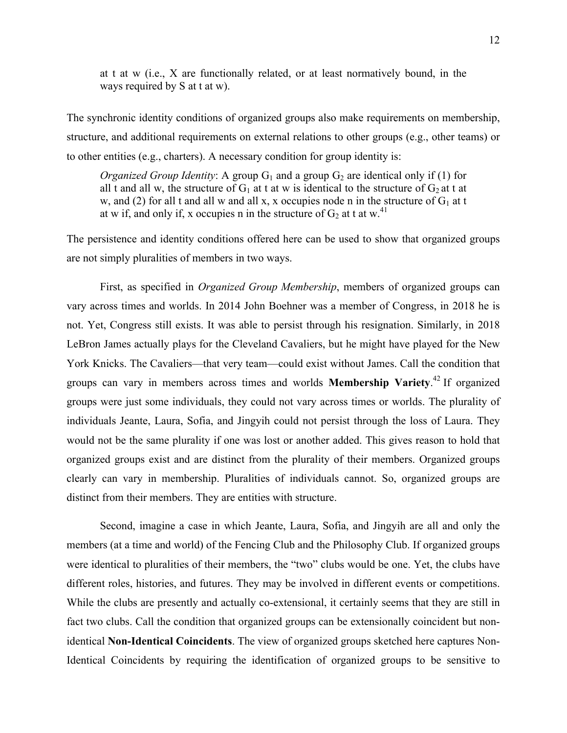at t at w (i.e., X are functionally related, or at least normatively bound, in the ways required by S at t at w).

The synchronic identity conditions of organized groups also make requirements on membership, structure, and additional requirements on external relations to other groups (e.g., other teams) or to other entities (e.g., charters). A necessary condition for group identity is:

*Organized Group Identity*: A group  $G_1$  and a group  $G_2$  are identical only if (1) for all t and all w, the structure of  $G_1$  at t at w is identical to the structure of  $G_2$  at t at w, and (2) for all t and all w and all x, x occupies node n in the structure of  $G_1$  at t at w if, and only if, x occupies n in the structure of  $G_2$  at t at w.<sup>41</sup>

The persistence and identity conditions offered here can be used to show that organized groups are not simply pluralities of members in two ways.

First, as specified in *Organized Group Membership*, members of organized groups can vary across times and worlds. In 2014 John Boehner was a member of Congress, in 2018 he is not. Yet, Congress still exists. It was able to persist through his resignation. Similarly, in 2018 LeBron James actually plays for the Cleveland Cavaliers, but he might have played for the New York Knicks. The Cavaliers—that very team—could exist without James. Call the condition that groups can vary in members across times and worlds **Membership Variety**. <sup>42</sup> If organized groups were just some individuals, they could not vary across times or worlds. The plurality of individuals Jeante, Laura, Sofia, and Jingyih could not persist through the loss of Laura. They would not be the same plurality if one was lost or another added. This gives reason to hold that organized groups exist and are distinct from the plurality of their members. Organized groups clearly can vary in membership. Pluralities of individuals cannot. So, organized groups are distinct from their members. They are entities with structure.

Second, imagine a case in which Jeante, Laura, Sofia, and Jingyih are all and only the members (at a time and world) of the Fencing Club and the Philosophy Club. If organized groups were identical to pluralities of their members, the "two" clubs would be one. Yet, the clubs have different roles, histories, and futures. They may be involved in different events or competitions. While the clubs are presently and actually co-extensional, it certainly seems that they are still in fact two clubs. Call the condition that organized groups can be extensionally coincident but nonidentical **Non-Identical Coincidents**. The view of organized groups sketched here captures Non-Identical Coincidents by requiring the identification of organized groups to be sensitive to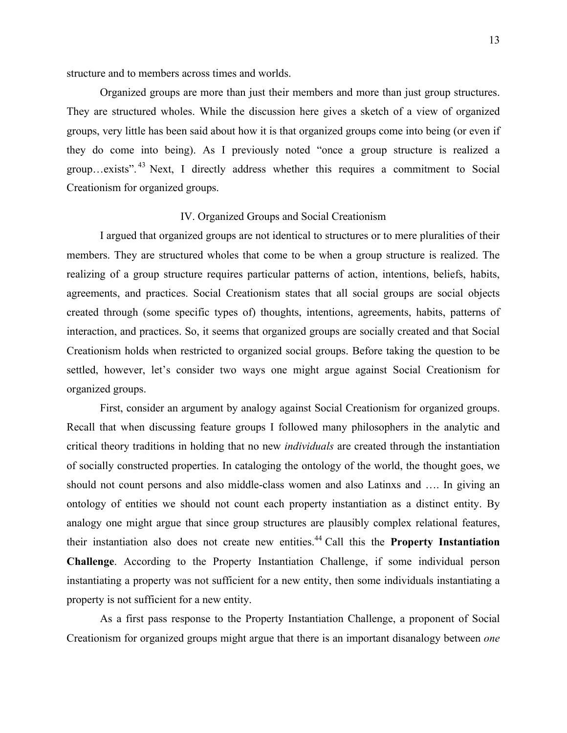structure and to members across times and worlds.

Organized groups are more than just their members and more than just group structures. They are structured wholes. While the discussion here gives a sketch of a view of organized groups, very little has been said about how it is that organized groups come into being (or even if they do come into being). As I previously noted "once a group structure is realized a group…exists". <sup>43</sup> Next, I directly address whether this requires a commitment to Social Creationism for organized groups.

#### IV. Organized Groups and Social Creationism

I argued that organized groups are not identical to structures or to mere pluralities of their members. They are structured wholes that come to be when a group structure is realized. The realizing of a group structure requires particular patterns of action, intentions, beliefs, habits, agreements, and practices. Social Creationism states that all social groups are social objects created through (some specific types of) thoughts, intentions, agreements, habits, patterns of interaction, and practices. So, it seems that organized groups are socially created and that Social Creationism holds when restricted to organized social groups. Before taking the question to be settled, however, let's consider two ways one might argue against Social Creationism for organized groups.

First, consider an argument by analogy against Social Creationism for organized groups. Recall that when discussing feature groups I followed many philosophers in the analytic and critical theory traditions in holding that no new *individuals* are created through the instantiation of socially constructed properties. In cataloging the ontology of the world, the thought goes, we should not count persons and also middle-class women and also Latinxs and …. In giving an ontology of entities we should not count each property instantiation as a distinct entity. By analogy one might argue that since group structures are plausibly complex relational features, their instantiation also does not create new entities.<sup>44</sup> Call this the **Property Instantiation Challenge**. According to the Property Instantiation Challenge, if some individual person instantiating a property was not sufficient for a new entity, then some individuals instantiating a property is not sufficient for a new entity.

As a first pass response to the Property Instantiation Challenge, a proponent of Social Creationism for organized groups might argue that there is an important disanalogy between *one*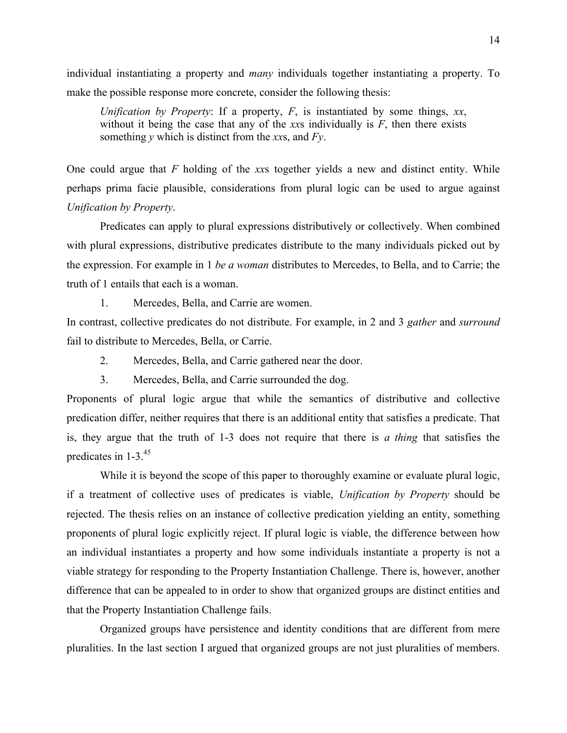individual instantiating a property and *many* individuals together instantiating a property. To make the possible response more concrete, consider the following thesis:

*Unification by Property*: If a property, *F*, is instantiated by some things, *xx*, without it being the case that any of the *xx*s individually is *F*, then there exists something *y* which is distinct from the *xx*s, and *Fy*.

One could argue that *F* holding of the *xx*s together yields a new and distinct entity. While perhaps prima facie plausible, considerations from plural logic can be used to argue against *Unification by Property*.

Predicates can apply to plural expressions distributively or collectively. When combined with plural expressions, distributive predicates distribute to the many individuals picked out by the expression. For example in 1 *be a woman* distributes to Mercedes, to Bella, and to Carrie; the truth of 1 entails that each is a woman.

1. Mercedes, Bella, and Carrie are women.

In contrast, collective predicates do not distribute. For example, in 2 and 3 *gather* and *surround* fail to distribute to Mercedes, Bella, or Carrie.

- 2. Mercedes, Bella, and Carrie gathered near the door.
- 3. Mercedes, Bella, and Carrie surrounded the dog.

Proponents of plural logic argue that while the semantics of distributive and collective predication differ, neither requires that there is an additional entity that satisfies a predicate. That is, they argue that the truth of 1-3 does not require that there is *a thing* that satisfies the predicates in 1-3.<sup>45</sup>

While it is beyond the scope of this paper to thoroughly examine or evaluate plural logic, if a treatment of collective uses of predicates is viable, *Unification by Property* should be rejected. The thesis relies on an instance of collective predication yielding an entity, something proponents of plural logic explicitly reject. If plural logic is viable, the difference between how an individual instantiates a property and how some individuals instantiate a property is not a viable strategy for responding to the Property Instantiation Challenge. There is, however, another difference that can be appealed to in order to show that organized groups are distinct entities and that the Property Instantiation Challenge fails.

Organized groups have persistence and identity conditions that are different from mere pluralities. In the last section I argued that organized groups are not just pluralities of members.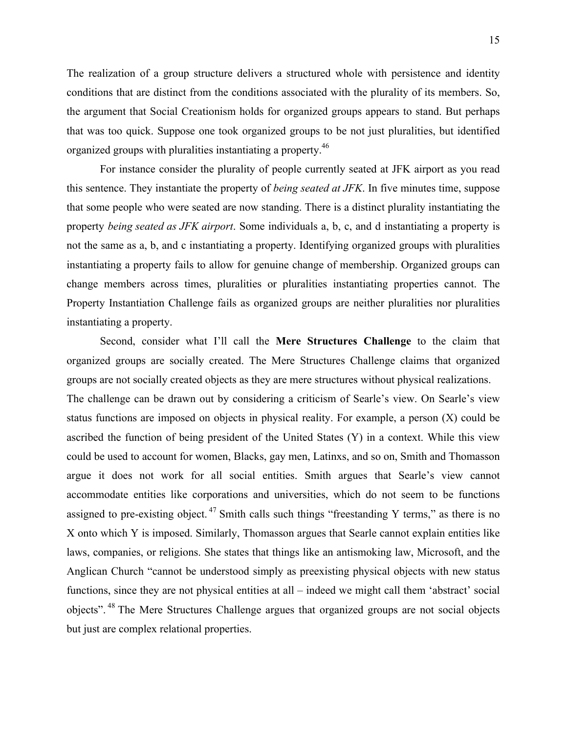The realization of a group structure delivers a structured whole with persistence and identity conditions that are distinct from the conditions associated with the plurality of its members. So, the argument that Social Creationism holds for organized groups appears to stand. But perhaps that was too quick. Suppose one took organized groups to be not just pluralities, but identified organized groups with pluralities instantiating a property.46

For instance consider the plurality of people currently seated at JFK airport as you read this sentence. They instantiate the property of *being seated at JFK*. In five minutes time, suppose that some people who were seated are now standing. There is a distinct plurality instantiating the property *being seated as JFK airport*. Some individuals a, b, c, and d instantiating a property is not the same as a, b, and c instantiating a property. Identifying organized groups with pluralities instantiating a property fails to allow for genuine change of membership. Organized groups can change members across times, pluralities or pluralities instantiating properties cannot. The Property Instantiation Challenge fails as organized groups are neither pluralities nor pluralities instantiating a property.

Second, consider what I'll call the **Mere Structures Challenge** to the claim that organized groups are socially created. The Mere Structures Challenge claims that organized groups are not socially created objects as they are mere structures without physical realizations. The challenge can be drawn out by considering a criticism of Searle's view. On Searle's view status functions are imposed on objects in physical reality. For example, a person (X) could be ascribed the function of being president of the United States (Y) in a context. While this view could be used to account for women, Blacks, gay men, Latinxs, and so on, Smith and Thomasson argue it does not work for all social entities. Smith argues that Searle's view cannot accommodate entities like corporations and universities, which do not seem to be functions assigned to pre-existing object.<sup>47</sup> Smith calls such things "freestanding Y terms," as there is no X onto which Y is imposed. Similarly, Thomasson argues that Searle cannot explain entities like laws, companies, or religions. She states that things like an antismoking law, Microsoft, and the Anglican Church "cannot be understood simply as preexisting physical objects with new status functions, since they are not physical entities at all – indeed we might call them 'abstract' social objects". <sup>48</sup> The Mere Structures Challenge argues that organized groups are not social objects but just are complex relational properties.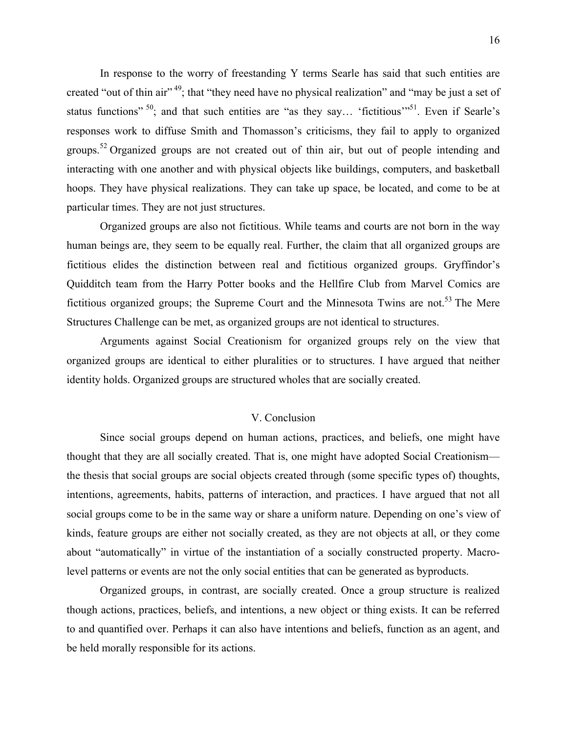In response to the worry of freestanding Y terms Searle has said that such entities are created "out of thin air" 49; that "they need have no physical realization" and "may be just a set of status functions"  $50$ ; and that such entities are "as they say... 'fictitious'" <sup>51</sup>. Even if Searle's responses work to diffuse Smith and Thomasson's criticisms, they fail to apply to organized groups.<sup>52</sup> Organized groups are not created out of thin air, but out of people intending and interacting with one another and with physical objects like buildings, computers, and basketball hoops. They have physical realizations. They can take up space, be located, and come to be at particular times. They are not just structures.

Organized groups are also not fictitious. While teams and courts are not born in the way human beings are, they seem to be equally real. Further, the claim that all organized groups are fictitious elides the distinction between real and fictitious organized groups. Gryffindor's Quidditch team from the Harry Potter books and the Hellfire Club from Marvel Comics are fictitious organized groups; the Supreme Court and the Minnesota Twins are not.<sup>53</sup> The Mere Structures Challenge can be met, as organized groups are not identical to structures.

Arguments against Social Creationism for organized groups rely on the view that organized groups are identical to either pluralities or to structures. I have argued that neither identity holds. Organized groups are structured wholes that are socially created.

# V. Conclusion

Since social groups depend on human actions, practices, and beliefs, one might have thought that they are all socially created. That is, one might have adopted Social Creationism the thesis that social groups are social objects created through (some specific types of) thoughts, intentions, agreements, habits, patterns of interaction, and practices. I have argued that not all social groups come to be in the same way or share a uniform nature. Depending on one's view of kinds, feature groups are either not socially created, as they are not objects at all, or they come about "automatically" in virtue of the instantiation of a socially constructed property. Macrolevel patterns or events are not the only social entities that can be generated as byproducts.

Organized groups, in contrast, are socially created. Once a group structure is realized though actions, practices, beliefs, and intentions, a new object or thing exists. It can be referred to and quantified over. Perhaps it can also have intentions and beliefs, function as an agent, and be held morally responsible for its actions.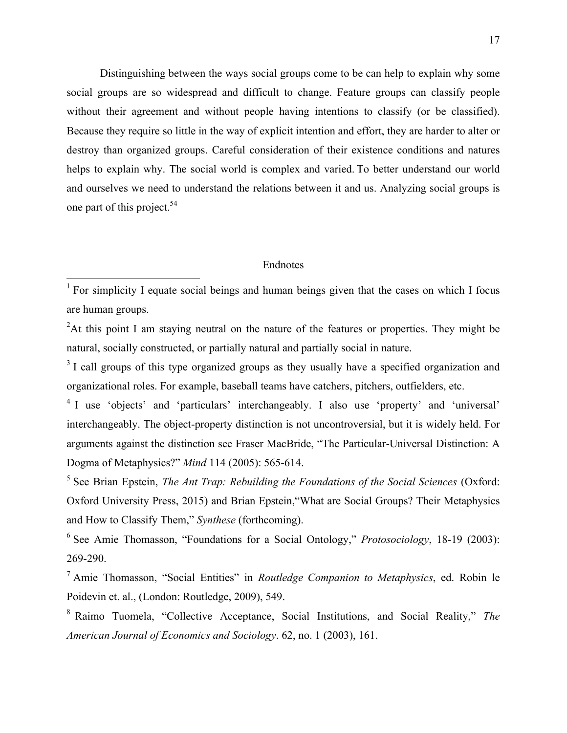Distinguishing between the ways social groups come to be can help to explain why some social groups are so widespread and difficult to change. Feature groups can classify people without their agreement and without people having intentions to classify (or be classified). Because they require so little in the way of explicit intention and effort, they are harder to alter or destroy than organized groups. Careful consideration of their existence conditions and natures helps to explain why. The social world is complex and varied. To better understand our world and ourselves we need to understand the relations between it and us. Analyzing social groups is one part of this project.<sup>54</sup>

# Endnotes

<sup>1</sup> For simplicity I equate social beings and human beings given that the cases on which I focus are human groups.

 $2$ At this point I am staying neutral on the nature of the features or properties. They might be natural, socially constructed, or partially natural and partially social in nature.

<sup>3</sup> I call groups of this type organized groups as they usually have a specified organization and organizational roles. For example, baseball teams have catchers, pitchers, outfielders, etc.

<sup>4</sup> I use 'objects' and 'particulars' interchangeably. I also use 'property' and 'universal' interchangeably. The object-property distinction is not uncontroversial, but it is widely held. For arguments against the distinction see Fraser MacBride, "The Particular-Universal Distinction: A Dogma of Metaphysics?" *Mind* 114 (2005): 565-614.

<sup>5</sup> See Brian Epstein, *The Ant Trap: Rebuilding the Foundations of the Social Sciences* (Oxford: Oxford University Press, 2015) and Brian Epstein,"What are Social Groups? Their Metaphysics and How to Classify Them," *Synthese* (forthcoming).

<sup>6</sup> See Amie Thomasson, "Foundations for a Social Ontology," *Protosociology*, 18-19 (2003): 269-290.

<sup>7</sup> Amie Thomasson, "Social Entities" in *Routledge Companion to Metaphysics*, ed. Robin le Poidevin et. al., (London: Routledge, 2009), 549.

<sup>8</sup> Raimo Tuomela, "Collective Acceptance, Social Institutions, and Social Reality," *The American Journal of Economics and Sociology*. 62, no. 1 (2003), 161.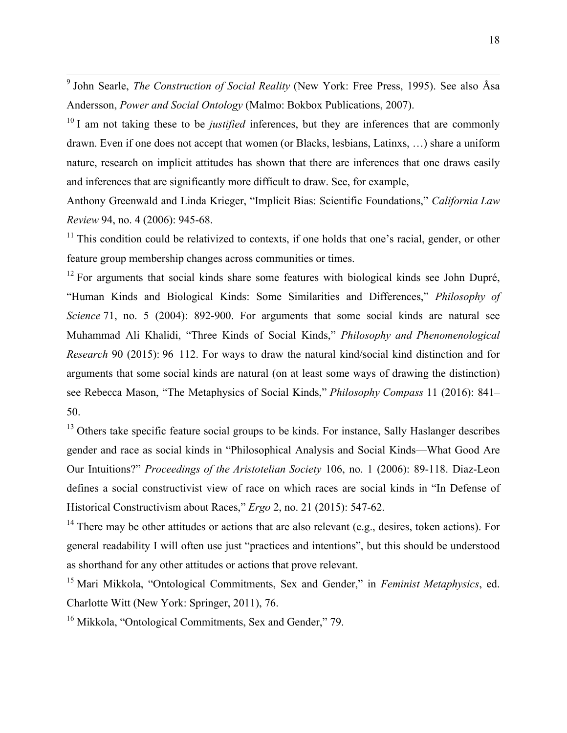9 John Searle, *The Construction of Social Reality* (New York: Free Press, 1995). See also Åsa Andersson, *Power and Social Ontology* (Malmo: Bokbox Publications, 2007).

<sup>10</sup> I am not taking these to be *justified* inferences, but they are inferences that are commonly drawn. Even if one does not accept that women (or Blacks, lesbians, Latinxs, …) share a uniform nature, research on implicit attitudes has shown that there are inferences that one draws easily and inferences that are significantly more difficult to draw. See, for example,

Anthony Greenwald and Linda Krieger, "Implicit Bias: Scientific Foundations," *California Law Review* 94, no. 4 (2006): 945-68.

 $11$  This condition could be relativized to contexts, if one holds that one's racial, gender, or other feature group membership changes across communities or times.

<sup>12</sup> For arguments that social kinds share some features with biological kinds see John Dupré, "Human Kinds and Biological Kinds: Some Similarities and Differences," *Philosophy of Science* 71, no. 5 (2004): 892-900. For arguments that some social kinds are natural see Muhammad Ali Khalidi, "Three Kinds of Social Kinds," *Philosophy and Phenomenological Research* 90 (2015): 96–112. For ways to draw the natural kind/social kind distinction and for arguments that some social kinds are natural (on at least some ways of drawing the distinction) see Rebecca Mason, "The Metaphysics of Social Kinds," *Philosophy Compass* 11 (2016): 841– 50.

<sup>13</sup> Others take specific feature social groups to be kinds. For instance, Sally Haslanger describes gender and race as social kinds in "Philosophical Analysis and Social Kinds—What Good Are Our Intuitions?" *Proceedings of the Aristotelian Society* 106, no. 1 (2006): 89-118. Diaz-Leon defines a social constructivist view of race on which races are social kinds in "In Defense of Historical Constructivism about Races," *Ergo* 2, no. 21 (2015): 547-62.

 $14$  There may be other attitudes or actions that are also relevant (e.g., desires, token actions). For general readability I will often use just "practices and intentions", but this should be understood as shorthand for any other attitudes or actions that prove relevant.

<sup>15</sup> Mari Mikkola, "Ontological Commitments, Sex and Gender," in *Feminist Metaphysics*, ed. Charlotte Witt (New York: Springer, 2011), 76.

<sup>16</sup> Mikkola, "Ontological Commitments, Sex and Gender," 79.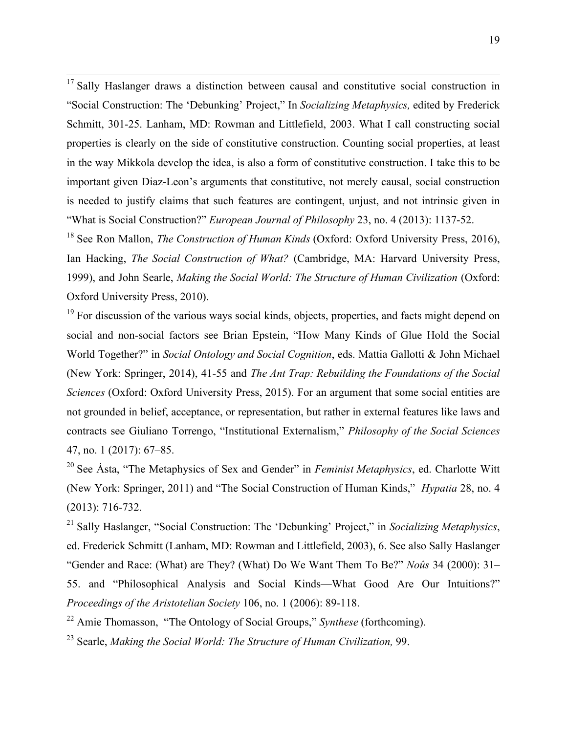<sup>17</sup> Sally Haslanger draws a distinction between causal and constitutive social construction in "Social Construction: The 'Debunking' Project," In *Socializing Metaphysics,* edited by Frederick Schmitt, 301-25. Lanham, MD: Rowman and Littlefield, 2003. What I call constructing social properties is clearly on the side of constitutive construction. Counting social properties, at least in the way Mikkola develop the idea, is also a form of constitutive construction. I take this to be important given Diaz-Leon's arguments that constitutive, not merely causal, social construction is needed to justify claims that such features are contingent, unjust, and not intrinsic given in "What is Social Construction?" *European Journal of Philosophy* 23, no. 4 (2013): 1137-52.

<sup>18</sup> See Ron Mallon, *The Construction of Human Kinds* (Oxford: Oxford University Press, 2016), Ian Hacking, *The Social Construction of What?* (Cambridge, MA: Harvard University Press, 1999), and John Searle, *Making the Social World: The Structure of Human Civilization* (Oxford: Oxford University Press, 2010).

<sup>19</sup> For discussion of the various ways social kinds, objects, properties, and facts might depend on social and non-social factors see Brian Epstein, "How Many Kinds of Glue Hold the Social World Together?" in *Social Ontology and Social Cognition*, eds. Mattia Gallotti & John Michael (New York: Springer, 2014), 41-55 and *The Ant Trap: Rebuilding the Foundations of the Social Sciences* (Oxford: Oxford University Press, 2015). For an argument that some social entities are not grounded in belief, acceptance, or representation, but rather in external features like laws and contracts see Giuliano Torrengo, "Institutional Externalism," *Philosophy of the Social Sciences* 47, no. 1 (2017): 67–85.

<sup>20</sup> See Ásta, "The Metaphysics of Sex and Gender" in *Feminist Metaphysics*, ed. Charlotte Witt (New York: Springer, 2011) and "The Social Construction of Human Kinds," *Hypatia* 28, no. 4 (2013): 716-732.

<sup>21</sup> Sally Haslanger, "Social Construction: The 'Debunking' Project," in *Socializing Metaphysics*, ed. Frederick Schmitt (Lanham, MD: Rowman and Littlefield, 2003), 6. See also Sally Haslanger "Gender and Race: (What) are They? (What) Do We Want Them To Be?" *Noûs* 34 (2000): 31– 55. and "Philosophical Analysis and Social Kinds—What Good Are Our Intuitions?" *Proceedings of the Aristotelian Society* 106, no. 1 (2006): 89-118.

<sup>22</sup> Amie Thomasson, "The Ontology of Social Groups," *Synthese* (forthcoming).

<sup>23</sup> Searle, *Making the Social World: The Structure of Human Civilization,* 99.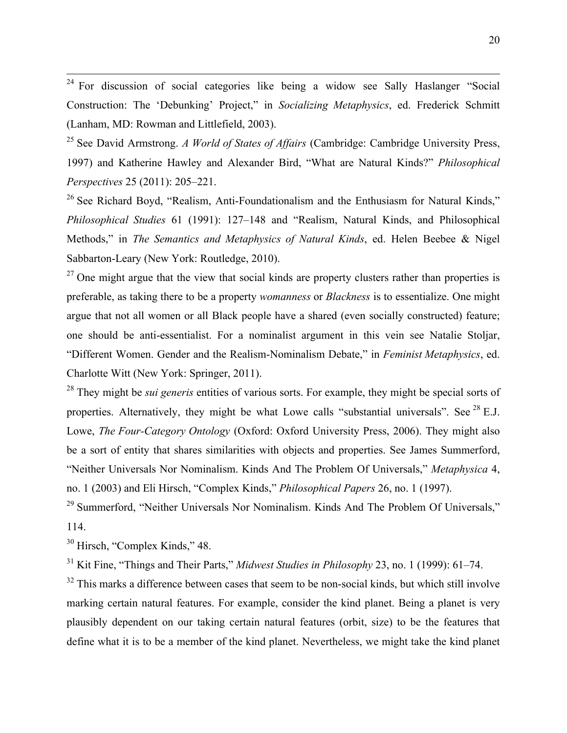<sup>24</sup> For discussion of social categories like being a widow see Sally Haslanger "Social" Construction: The 'Debunking' Project," in *Socializing Metaphysics*, ed. Frederick Schmitt (Lanham, MD: Rowman and Littlefield, 2003).

<sup>25</sup> See David Armstrong. *A World of States of Affairs* (Cambridge: Cambridge University Press, 1997) and Katherine Hawley and Alexander Bird, "What are Natural Kinds?" *Philosophical Perspectives* 25 (2011): 205–221.

<sup>26</sup> See Richard Boyd, "Realism, Anti-Foundationalism and the Enthusiasm for Natural Kinds," *Philosophical Studies* 61 (1991): 127–148 and "Realism, Natural Kinds, and Philosophical Methods," in *The Semantics and Metaphysics of Natural Kinds*, ed. Helen Beebee & Nigel Sabbarton-Leary (New York: Routledge, 2010).

 $27$  One might argue that the view that social kinds are property clusters rather than properties is preferable, as taking there to be a property *womanness* or *Blackness* is to essentialize. One might argue that not all women or all Black people have a shared (even socially constructed) feature; one should be anti-essentialist. For a nominalist argument in this vein see Natalie Stoljar, "Different Women. Gender and the Realism-Nominalism Debate," in *Feminist Metaphysics*, ed. Charlotte Witt (New York: Springer, 2011).

<sup>28</sup> They might be *sui generis* entities of various sorts. For example, they might be special sorts of properties. Alternatively, they might be what Lowe calls "substantial universals". See <sup>28</sup> E.J. Lowe, *The Four-Category Ontology* (Oxford: Oxford University Press, 2006). They might also be a sort of entity that shares similarities with objects and properties. See James Summerford, "Neither Universals Nor Nominalism. Kinds And The Problem Of Universals," *Metaphysica* 4, no. 1 (2003) and Eli Hirsch, "Complex Kinds," *Philosophical Papers* 26, no. 1 (1997).

<sup>29</sup> Summerford, "Neither Universals Nor Nominalism. Kinds And The Problem Of Universals," 114.

<sup>30</sup> Hirsch, "Complex Kinds," 48.

<sup>31</sup> Kit Fine, "Things and Their Parts," *Midwest Studies in Philosophy* 23, no. 1 (1999): 61–74.

 $32$  This marks a difference between cases that seem to be non-social kinds, but which still involve marking certain natural features. For example, consider the kind planet. Being a planet is very plausibly dependent on our taking certain natural features (orbit, size) to be the features that define what it is to be a member of the kind planet. Nevertheless, we might take the kind planet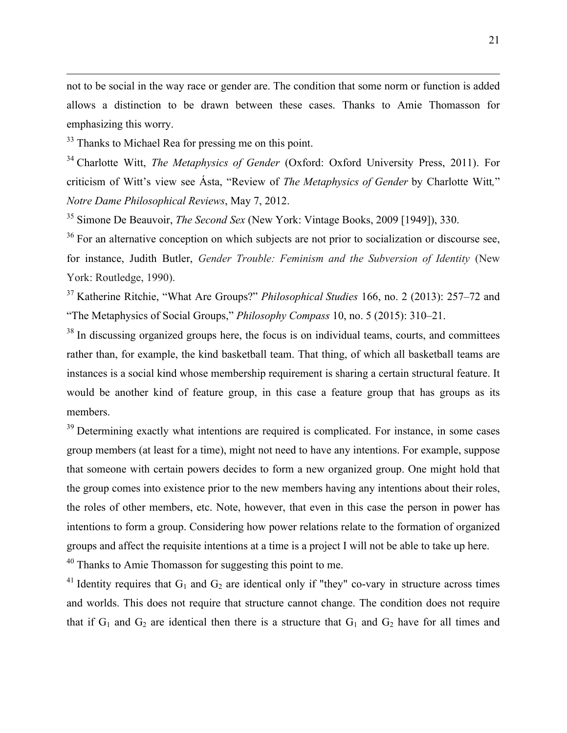not to be social in the way race or gender are. The condition that some norm or function is added allows a distinction to be drawn between these cases. Thanks to Amie Thomasson for emphasizing this worry.

<sup>33</sup> Thanks to Michael Rea for pressing me on this point.

 $\overline{a}$ 

<sup>34</sup> Charlotte Witt, *The Metaphysics of Gender* (Oxford: Oxford University Press, 2011). For criticism of Witt's view see Ásta, "Review of *The Metaphysics of Gender* by Charlotte Witt*,*" *Notre Dame Philosophical Reviews*, May 7, 2012.

<sup>35</sup> Simone De Beauvoir, *The Second Sex* (New York: Vintage Books, 2009 [1949]), 330.

<sup>36</sup> For an alternative conception on which subjects are not prior to socialization or discourse see, for instance, Judith Butler, *Gender Trouble: Feminism and the Subversion of Identity* (New York: Routledge, 1990).

<sup>37</sup> Katherine Ritchie, "What Are Groups?" *Philosophical Studies* 166, no. 2 (2013): 257–72 and "The Metaphysics of Social Groups," *Philosophy Compass* 10, no. 5 (2015): 310–21.

<sup>38</sup> In discussing organized groups here, the focus is on individual teams, courts, and committees rather than, for example, the kind basketball team. That thing, of which all basketball teams are instances is a social kind whose membership requirement is sharing a certain structural feature. It would be another kind of feature group, in this case a feature group that has groups as its members.

<sup>39</sup> Determining exactly what intentions are required is complicated. For instance, in some cases group members (at least for a time), might not need to have any intentions. For example, suppose that someone with certain powers decides to form a new organized group. One might hold that the group comes into existence prior to the new members having any intentions about their roles, the roles of other members, etc. Note, however, that even in this case the person in power has intentions to form a group. Considering how power relations relate to the formation of organized groups and affect the requisite intentions at a time is a project I will not be able to take up here.

<sup>40</sup> Thanks to Amie Thomasson for suggesting this point to me.

<sup>41</sup> Identity requires that  $G_1$  and  $G_2$  are identical only if "they" co-vary in structure across times and worlds. This does not require that structure cannot change. The condition does not require that if  $G_1$  and  $G_2$  are identical then there is a structure that  $G_1$  and  $G_2$  have for all times and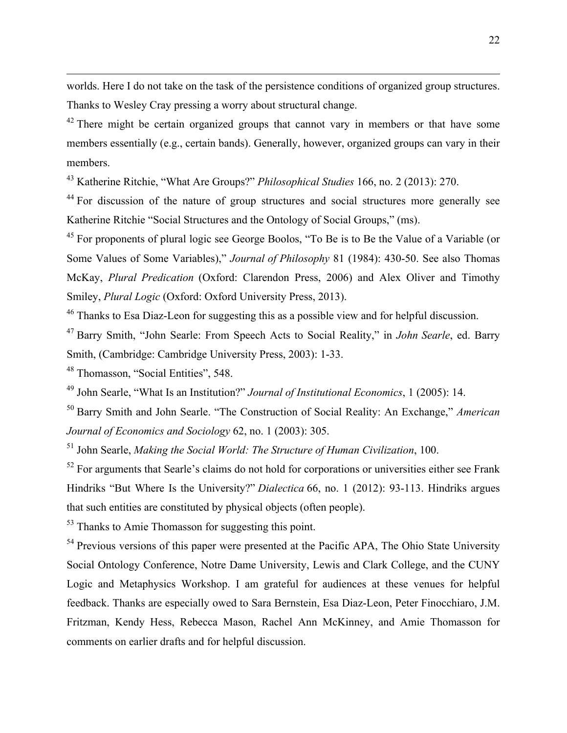worlds. Here I do not take on the task of the persistence conditions of organized group structures. Thanks to Wesley Cray pressing a worry about structural change.

 $42$  There might be certain organized groups that cannot vary in members or that have some members essentially (e.g., certain bands). Generally, however, organized groups can vary in their members.

<sup>43</sup> Katherine Ritchie, "What Are Groups?" *Philosophical Studies* 166, no. 2 (2013): 270.

<sup>44</sup> For discussion of the nature of group structures and social structures more generally see Katherine Ritchie "Social Structures and the Ontology of Social Groups," (ms).

<sup>45</sup> For proponents of plural logic see George Boolos, "To Be is to Be the Value of a Variable (or Some Values of Some Variables)," *Journal of Philosophy* 81 (1984): 430-50. See also Thomas McKay, *Plural Predication* (Oxford: Clarendon Press, 2006) and Alex Oliver and Timothy Smiley, *Plural Logic* (Oxford: Oxford University Press, 2013).

<sup>46</sup> Thanks to Esa Diaz-Leon for suggesting this as a possible view and for helpful discussion.

<sup>47</sup> Barry Smith, "John Searle: From Speech Acts to Social Reality," in *John Searle*, ed. Barry Smith, (Cambridge: Cambridge University Press, 2003): 1-33.

<sup>48</sup> Thomasson, "Social Entities", 548.

 $\overline{a}$ 

<sup>49</sup> John Searle, "What Is an Institution?" *Journal of Institutional Economics*, 1 (2005): 14.

<sup>50</sup> Barry Smith and John Searle. "The Construction of Social Reality: An Exchange," *American Journal of Economics and Sociology* 62, no. 1 (2003): 305.

<sup>51</sup> John Searle, *Making the Social World: The Structure of Human Civilization*, 100.

 $52$  For arguments that Searle's claims do not hold for corporations or universities either see Frank Hindriks "But Where Is the University?" *Dialectica* 66, no. 1 (2012): 93-113. Hindriks argues that such entities are constituted by physical objects (often people).

 $53$  Thanks to Amie Thomasson for suggesting this point.

<sup>54</sup> Previous versions of this paper were presented at the Pacific APA, The Ohio State University Social Ontology Conference, Notre Dame University, Lewis and Clark College, and the CUNY Logic and Metaphysics Workshop. I am grateful for audiences at these venues for helpful feedback. Thanks are especially owed to Sara Bernstein, Esa Diaz-Leon, Peter Finocchiaro, J.M. Fritzman, Kendy Hess, Rebecca Mason, Rachel Ann McKinney, and Amie Thomasson for comments on earlier drafts and for helpful discussion.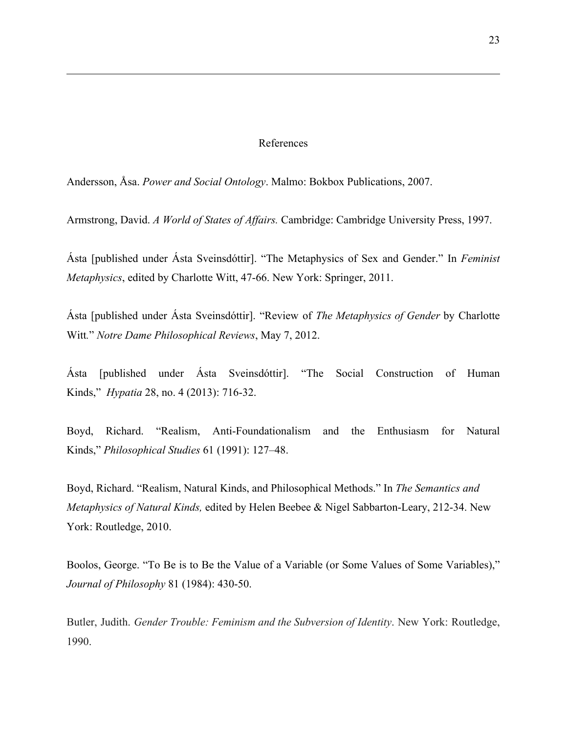### References

Andersson, Åsa. *Power and Social Ontology*. Malmo: Bokbox Publications, 2007.

 $\overline{a}$ 

Armstrong, David. *A World of States of Affairs.* Cambridge: Cambridge University Press, 1997.

Ásta [published under Ásta Sveinsdóttir]. "The Metaphysics of Sex and Gender." In *Feminist Metaphysics*, edited by Charlotte Witt, 47-66. New York: Springer, 2011.

Ásta [published under Ásta Sveinsdóttir]. "Review of *The Metaphysics of Gender* by Charlotte Witt*.*" *Notre Dame Philosophical Reviews*, May 7, 2012.

Ásta [published under Ásta Sveinsdóttir]. "The Social Construction of Human Kinds," *Hypatia* 28, no. 4 (2013): 716-32.

Boyd, Richard. "Realism, Anti-Foundationalism and the Enthusiasm for Natural Kinds," *Philosophical Studies* 61 (1991): 127–48.

Boyd, Richard. "Realism, Natural Kinds, and Philosophical Methods." In *The Semantics and Metaphysics of Natural Kinds,* edited by Helen Beebee & Nigel Sabbarton-Leary, 212-34. New York: Routledge, 2010.

Boolos, George. "To Be is to Be the Value of a Variable (or Some Values of Some Variables)," *Journal of Philosophy* 81 (1984): 430-50.

Butler, Judith. *Gender Trouble: Feminism and the Subversion of Identity*. New York: Routledge, 1990.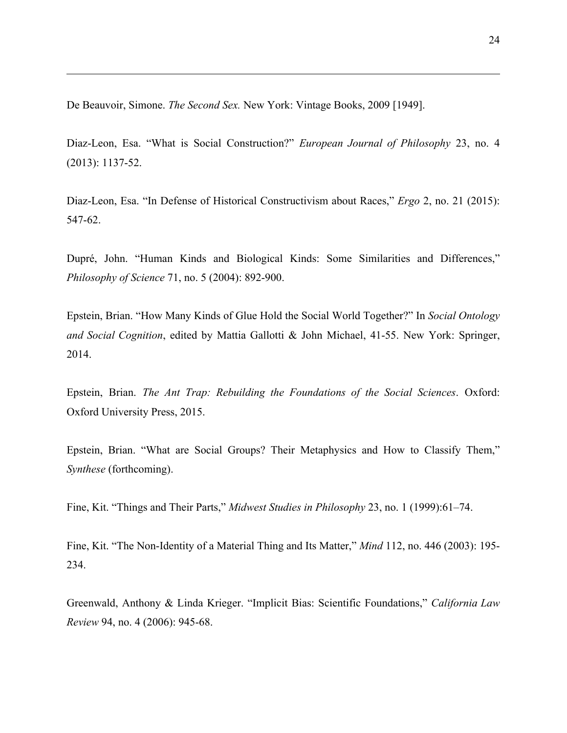De Beauvoir, Simone. *The Second Sex.* New York: Vintage Books, 2009 [1949].

 $\overline{a}$ 

Diaz-Leon, Esa. "What is Social Construction?" *European Journal of Philosophy* 23, no. 4 (2013): 1137-52.

Diaz-Leon, Esa. "In Defense of Historical Constructivism about Races," *Ergo* 2, no. 21 (2015): 547-62.

Dupré, John. "Human Kinds and Biological Kinds: Some Similarities and Differences," *Philosophy of Science* 71, no. 5 (2004): 892-900.

Epstein, Brian. "How Many Kinds of Glue Hold the Social World Together?" In *Social Ontology and Social Cognition*, edited by Mattia Gallotti & John Michael, 41-55. New York: Springer, 2014.

Epstein, Brian. *The Ant Trap: Rebuilding the Foundations of the Social Sciences*. Oxford: Oxford University Press, 2015.

Epstein, Brian. "What are Social Groups? Their Metaphysics and How to Classify Them," *Synthese* (forthcoming).

Fine, Kit. "Things and Their Parts," *Midwest Studies in Philosophy* 23, no. 1 (1999):61–74.

Fine, Kit. "The Non-Identity of a Material Thing and Its Matter," *Mind* 112, no. 446 (2003): 195- 234.

Greenwald, Anthony & Linda Krieger. "Implicit Bias: Scientific Foundations," *California Law Review* 94, no. 4 (2006): 945-68.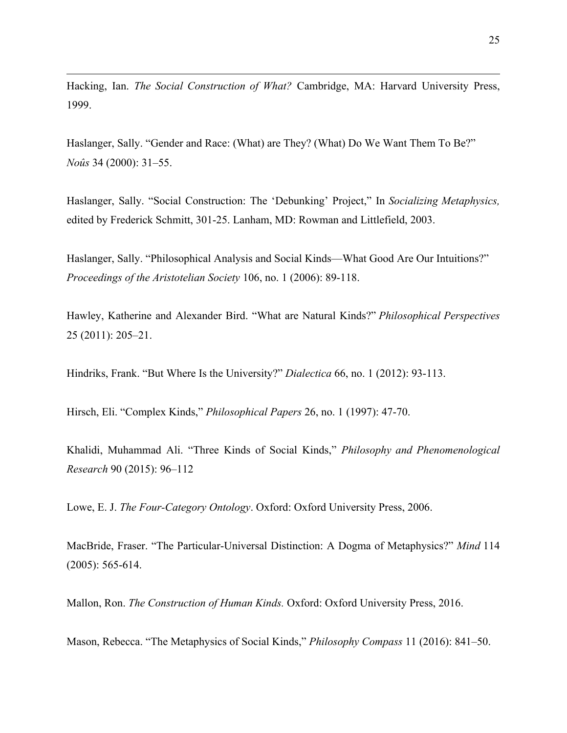Hacking, Ian. *The Social Construction of What?* Cambridge, MA: Harvard University Press, 1999.

Haslanger, Sally. "Gender and Race: (What) are They? (What) Do We Want Them To Be?" *Noûs* 34 (2000): 31–55.

 $\overline{a}$ 

Haslanger, Sally. "Social Construction: The 'Debunking' Project," In *Socializing Metaphysics,* edited by Frederick Schmitt, 301-25. Lanham, MD: Rowman and Littlefield, 2003.

Haslanger, Sally. "Philosophical Analysis and Social Kinds—What Good Are Our Intuitions?" *Proceedings of the Aristotelian Society* 106, no. 1 (2006): 89-118.

Hawley, Katherine and Alexander Bird. "What are Natural Kinds?" *Philosophical Perspectives* 25 (2011): 205–21.

Hindriks, Frank. "But Where Is the University?" *Dialectica* 66, no. 1 (2012): 93-113.

Hirsch, Eli. "Complex Kinds," *Philosophical Papers* 26, no. 1 (1997): 47-70.

Khalidi, Muhammad Ali. "Three Kinds of Social Kinds," *Philosophy and Phenomenological Research* 90 (2015): 96–112

Lowe, E. J. *The Four-Category Ontology*. Oxford: Oxford University Press, 2006.

MacBride, Fraser. "The Particular-Universal Distinction: A Dogma of Metaphysics?" *Mind* 114 (2005): 565-614.

Mallon, Ron. *The Construction of Human Kinds.* Oxford: Oxford University Press, 2016.

Mason, Rebecca. "The Metaphysics of Social Kinds," *Philosophy Compass* 11 (2016): 841–50.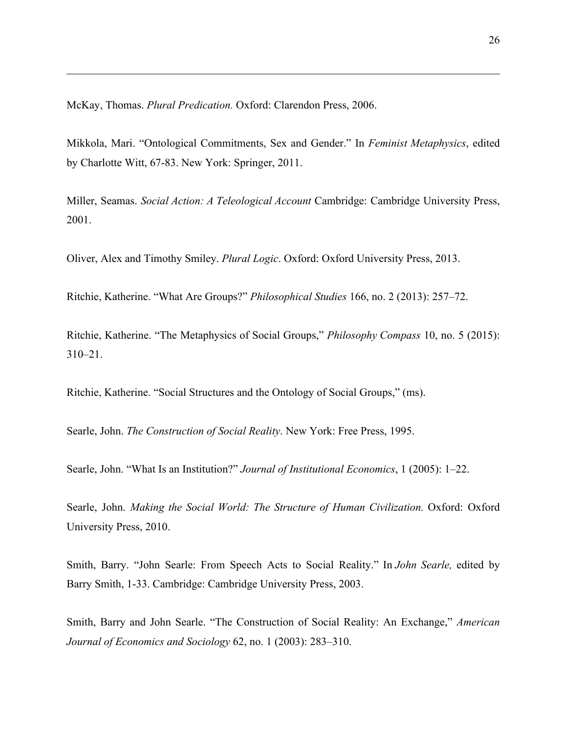McKay, Thomas. *Plural Predication.* Oxford: Clarendon Press, 2006.

 $\overline{a}$ 

Mikkola, Mari. "Ontological Commitments, Sex and Gender." In *Feminist Metaphysics*, edited by Charlotte Witt, 67-83. New York: Springer, 2011.

Miller, Seamas. *Social Action: A Teleological Account* Cambridge: Cambridge University Press, 2001.

Oliver, Alex and Timothy Smiley. *Plural Logic*. Oxford: Oxford University Press, 2013.

Ritchie, Katherine. "What Are Groups?" *Philosophical Studies* 166, no. 2 (2013): 257–72.

Ritchie, Katherine. "The Metaphysics of Social Groups," *Philosophy Compass* 10, no. 5 (2015): 310–21.

Ritchie, Katherine. "Social Structures and the Ontology of Social Groups," (ms).

Searle, John. *The Construction of Social Reality*. New York: Free Press, 1995.

Searle, John. "What Is an Institution?" *Journal of Institutional Economics*, 1 (2005): 1–22.

Searle, John. *Making the Social World: The Structure of Human Civilization.* Oxford: Oxford University Press, 2010.

Smith, Barry. "John Searle: From Speech Acts to Social Reality." In *John Searle,* edited by Barry Smith, 1-33. Cambridge: Cambridge University Press, 2003.

Smith, Barry and John Searle. "The Construction of Social Reality: An Exchange," *American Journal of Economics and Sociology* 62, no. 1 (2003): 283–310.